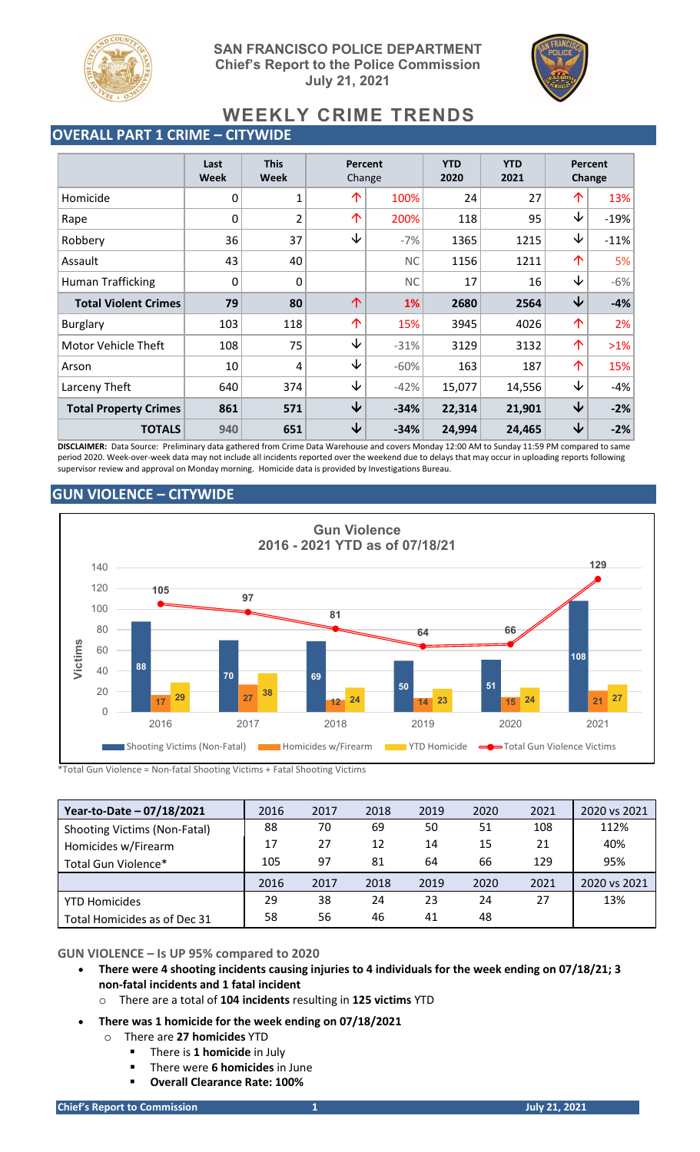

**SAN FRANCISCO POLICE DEPARTMENT Chief's Report to the Police Commission July 21, 2021**



# **WEEKLY CRIME TRENDS**

## **OVERALL PART 1 CRIME – CITYWIDE**

|                              | Last<br><b>Week</b> | <b>This</b><br><b>Week</b> | Percent<br>Change |           | <b>YTD</b><br>2020 | <b>YTD</b><br>2021 | <b>Percent</b><br>Change |        |
|------------------------------|---------------------|----------------------------|-------------------|-----------|--------------------|--------------------|--------------------------|--------|
| Homicide                     | 0                   | 1                          | 个                 | 100%      | 24                 | 27                 | 个                        | 13%    |
| Rape                         | 0                   | $\overline{2}$             | 个                 | 200%      | 118                | 95                 | ↓                        | $-19%$ |
| Robbery                      | 36                  | 37                         | ↓                 | $-7%$     | 1365               | 1215               | ↓                        | $-11%$ |
| Assault                      | 43                  | 40                         |                   | <b>NC</b> | 1156               | 1211               | 个                        | 5%     |
| <b>Human Trafficking</b>     | 0                   | $\mathbf 0$                |                   | <b>NC</b> | 17                 | 16                 | ↓                        | $-6%$  |
| <b>Total Violent Crimes</b>  | 79                  | 80                         | 个                 | 1%        | 2680               | 2564               | $\downarrow$             | $-4%$  |
| <b>Burglary</b>              | 103                 | 118                        | 个                 | 15%       | 3945               | 4026               | 个                        | 2%     |
| Motor Vehicle Theft          | 108                 | 75                         | ↓                 | $-31%$    | 3129               | 3132               | 个                        | $>1\%$ |
| Arson                        | 10                  | 4                          | ↓                 | $-60%$    | 163                | 187                | 个                        | 15%    |
| Larceny Theft                | 640                 | 374                        | ↓                 | $-42%$    | 15,077             | 14,556             | ↓                        | $-4%$  |
| <b>Total Property Crimes</b> | 861                 | 571                        | $\downarrow$      | $-34%$    | 22,314             | 21,901             | $\downarrow$             | $-2%$  |
| <b>TOTALS</b>                | 940                 | 651                        | ↓                 | $-34%$    | 24,994             | 24,465             | ↓                        | $-2%$  |

**DISCLAIMER:** Data Source: Preliminary data gathered from Crime Data Warehouse and covers Monday 12:00 AM to Sunday 11:59 PM compared to same period 2020. Week-over-week data may not include all incidents reported over the weekend due to delays that may occur in uploading reports following supervisor review and approval on Monday morning. Homicide data is provided by Investigations Bureau.

## **GUN VIOLENCE – CITYWIDE**



\*Total Gun Violence = Non-fatal Shooting Victims + Fatal Shooting Victims

| Year-to-Date - 07/18/2021           | 2016 | 2017 | 2018 | 2019 | 2020 | 2021 | 2020 vs 2021 |
|-------------------------------------|------|------|------|------|------|------|--------------|
| <b>Shooting Victims (Non-Fatal)</b> | 88   | 70   | 69   | 50   | 51   | 108  | 112%         |
| Homicides w/Firearm                 | 17   | 27   | 12   | 14   | 15   | 21   | 40%          |
| Total Gun Violence*                 | 105  | 97   | 81   | 64   | 66   | 129  | 95%          |
|                                     | 2016 | 2017 | 2018 | 2019 | 2020 | 2021 | 2020 vs 2021 |
| <b>YTD Homicides</b>                | 29   | 38   | 24   | 23   | 24   | 27   | 13%          |
| Total Homicides as of Dec 31        | 58   | 56   | 46   | 41   | 48   |      |              |

### **GUN VIOLENCE – Is UP 95% compared to 2020**

- **There were 4 shooting incidents causing injuries to 4 individuals for the week ending on 07/18/21; 3 non-fatal incidents and 1 fatal incident**
	- o There are a total of **104 incidents** resulting in **125 victims** YTD
- **There was 1 homicide for the week ending on 07/18/2021**
	- o There are **27 homicides** YTD
		- There is **1 homicide** in July
		- There were **6 homicides** in June
		- **Overall Clearance Rate: 100%**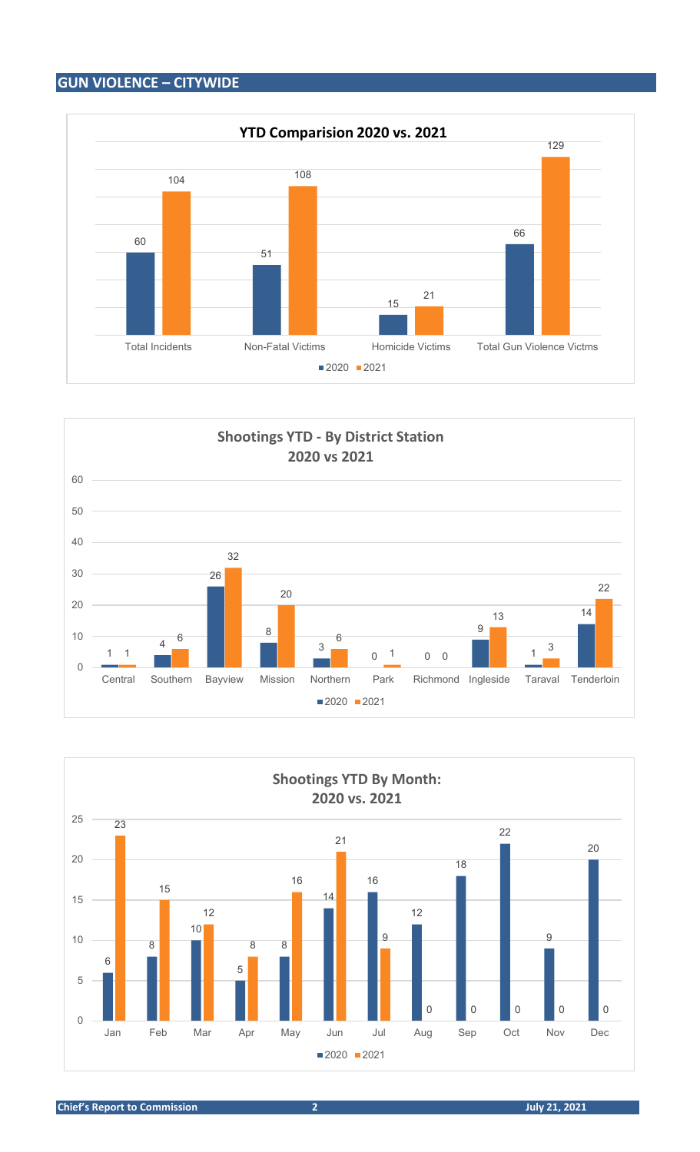## **GUN VIOLENCE – CITYWIDE**







**Chief's Report to Commission 2 July 21, 2021**